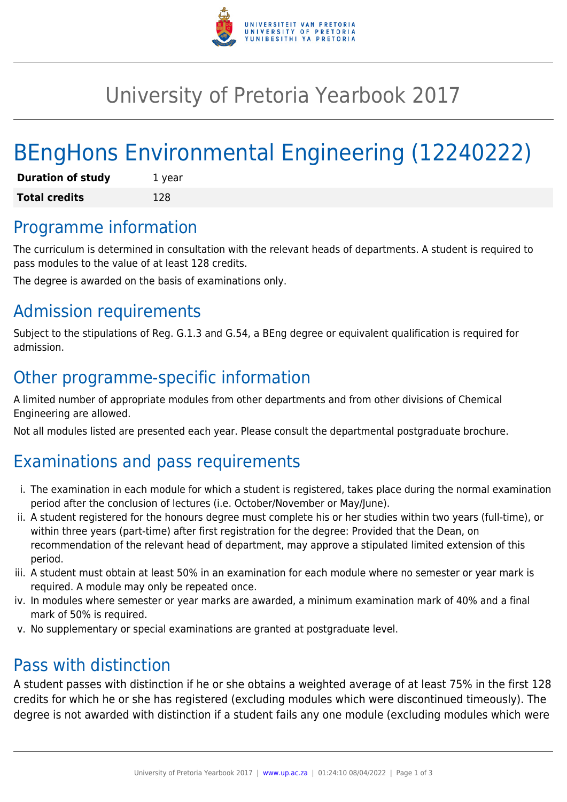

## University of Pretoria Yearbook 2017

# BEngHons Environmental Engineering (12240222)

| <b>Duration of study</b> | 1 year |
|--------------------------|--------|
| <b>Total credits</b>     | 128    |

#### Programme information

The curriculum is determined in consultation with the relevant heads of departments. A student is required to pass modules to the value of at least 128 credits.

The degree is awarded on the basis of examinations only.

### Admission requirements

Subject to the stipulations of Reg. G.1.3 and G.54, a BEng degree or equivalent qualification is required for admission.

### Other programme-specific information

A limited number of appropriate modules from other departments and from other divisions of Chemical Engineering are allowed.

Not all modules listed are presented each year. Please consult the departmental postgraduate brochure.

## Examinations and pass requirements

- i. The examination in each module for which a student is registered, takes place during the normal examination period after the conclusion of lectures (i.e. October/November or May/June).
- ii. A student registered for the honours degree must complete his or her studies within two years (full-time), or within three years (part-time) after first registration for the degree: Provided that the Dean, on recommendation of the relevant head of department, may approve a stipulated limited extension of this period.
- iii. A student must obtain at least 50% in an examination for each module where no semester or year mark is required. A module may only be repeated once.
- iv. In modules where semester or year marks are awarded, a minimum examination mark of 40% and a final mark of 50% is required.
- v. No supplementary or special examinations are granted at postgraduate level.

#### Pass with distinction

A student passes with distinction if he or she obtains a weighted average of at least 75% in the first 128 credits for which he or she has registered (excluding modules which were discontinued timeously). The degree is not awarded with distinction if a student fails any one module (excluding modules which were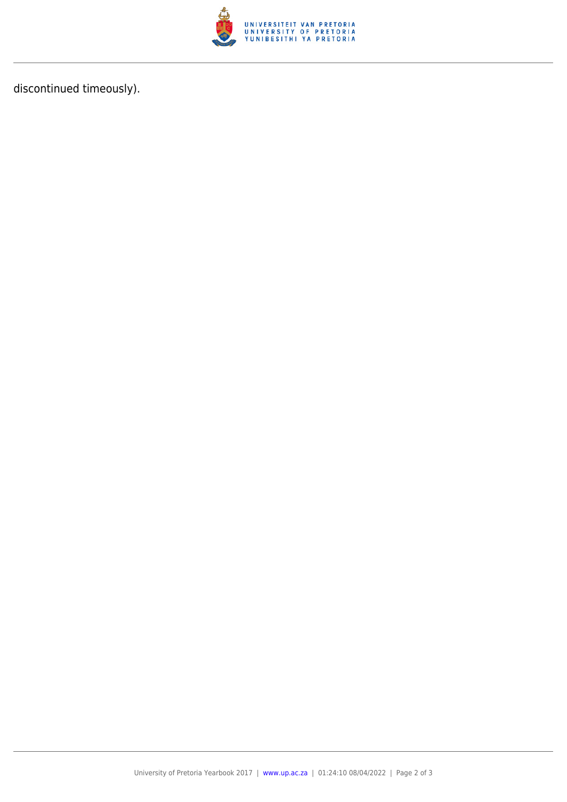

discontinued timeously).